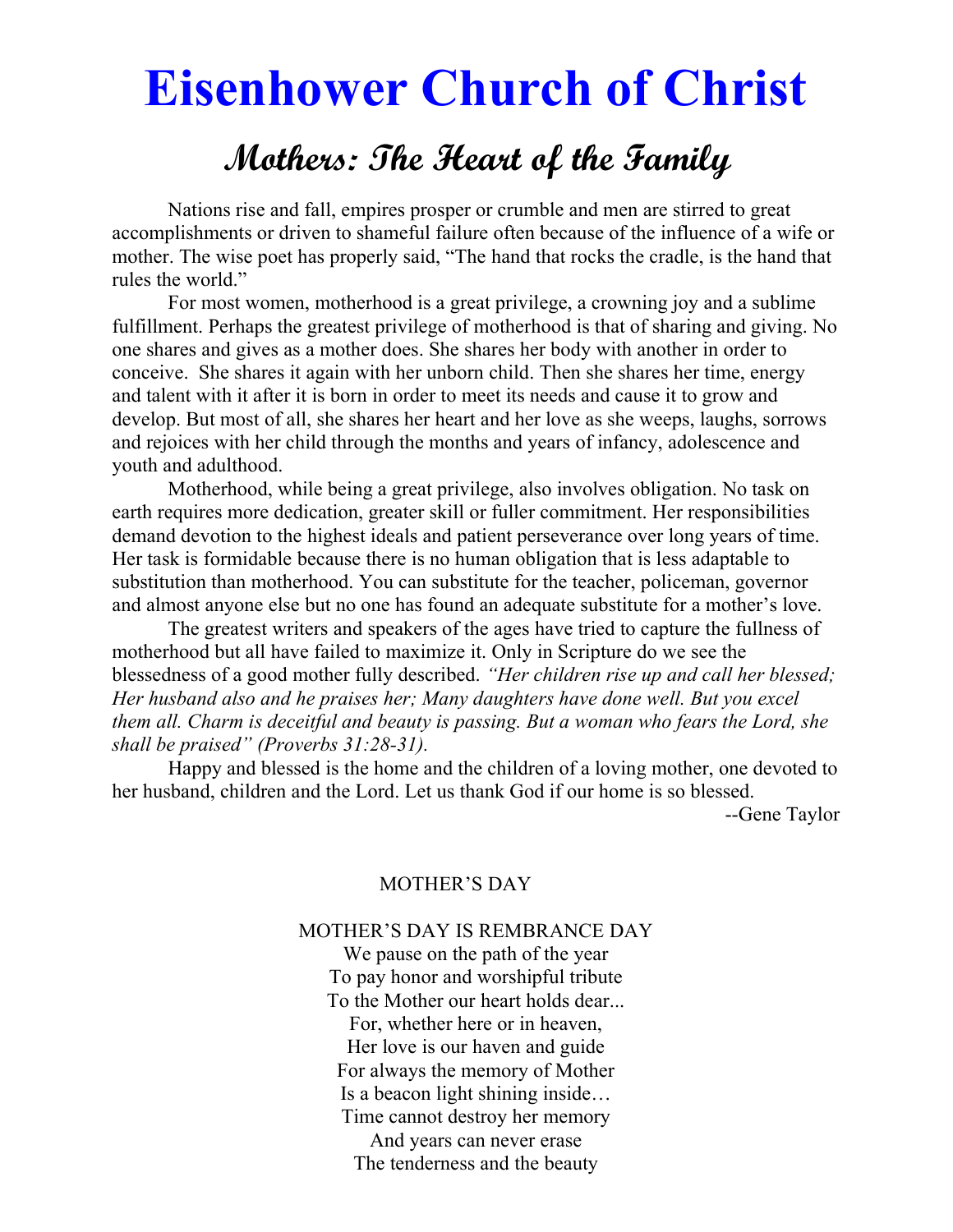# Eisenhower Church of Christ

# Mothers: The Heart of the Family

 Nations rise and fall, empires prosper or crumble and men are stirred to great accomplishments or driven to shameful failure often because of the influence of a wife or mother. The wise poet has properly said, "The hand that rocks the cradle, is the hand that rules the world."

 For most women, motherhood is a great privilege, a crowning joy and a sublime fulfillment. Perhaps the greatest privilege of motherhood is that of sharing and giving. No one shares and gives as a mother does. She shares her body with another in order to conceive. She shares it again with her unborn child. Then she shares her time, energy and talent with it after it is born in order to meet its needs and cause it to grow and develop. But most of all, she shares her heart and her love as she weeps, laughs, sorrows and rejoices with her child through the months and years of infancy, adolescence and youth and adulthood.

 Motherhood, while being a great privilege, also involves obligation. No task on earth requires more dedication, greater skill or fuller commitment. Her responsibilities demand devotion to the highest ideals and patient perseverance over long years of time. Her task is formidable because there is no human obligation that is less adaptable to substitution than motherhood. You can substitute for the teacher, policeman, governor and almost anyone else but no one has found an adequate substitute for a mother's love.

 The greatest writers and speakers of the ages have tried to capture the fullness of motherhood but all have failed to maximize it. Only in Scripture do we see the blessedness of a good mother fully described. "Her children rise up and call her blessed; Her husband also and he praises her; Many daughters have done well. But you excel them all. Charm is deceitful and beauty is passing. But a woman who fears the Lord, she shall be praised" (Proverbs 31:28-31).

Happy and blessed is the home and the children of a loving mother, one devoted to her husband, children and the Lord. Let us thank God if our home is so blessed.

--Gene Taylor

# MOTHER'S DAY

#### MOTHER'S DAY IS REMBRANCE DAY

We pause on the path of the year To pay honor and worshipful tribute To the Mother our heart holds dear... For, whether here or in heaven, Her love is our haven and guide For always the memory of Mother Is a beacon light shining inside… Time cannot destroy her memory And years can never erase The tenderness and the beauty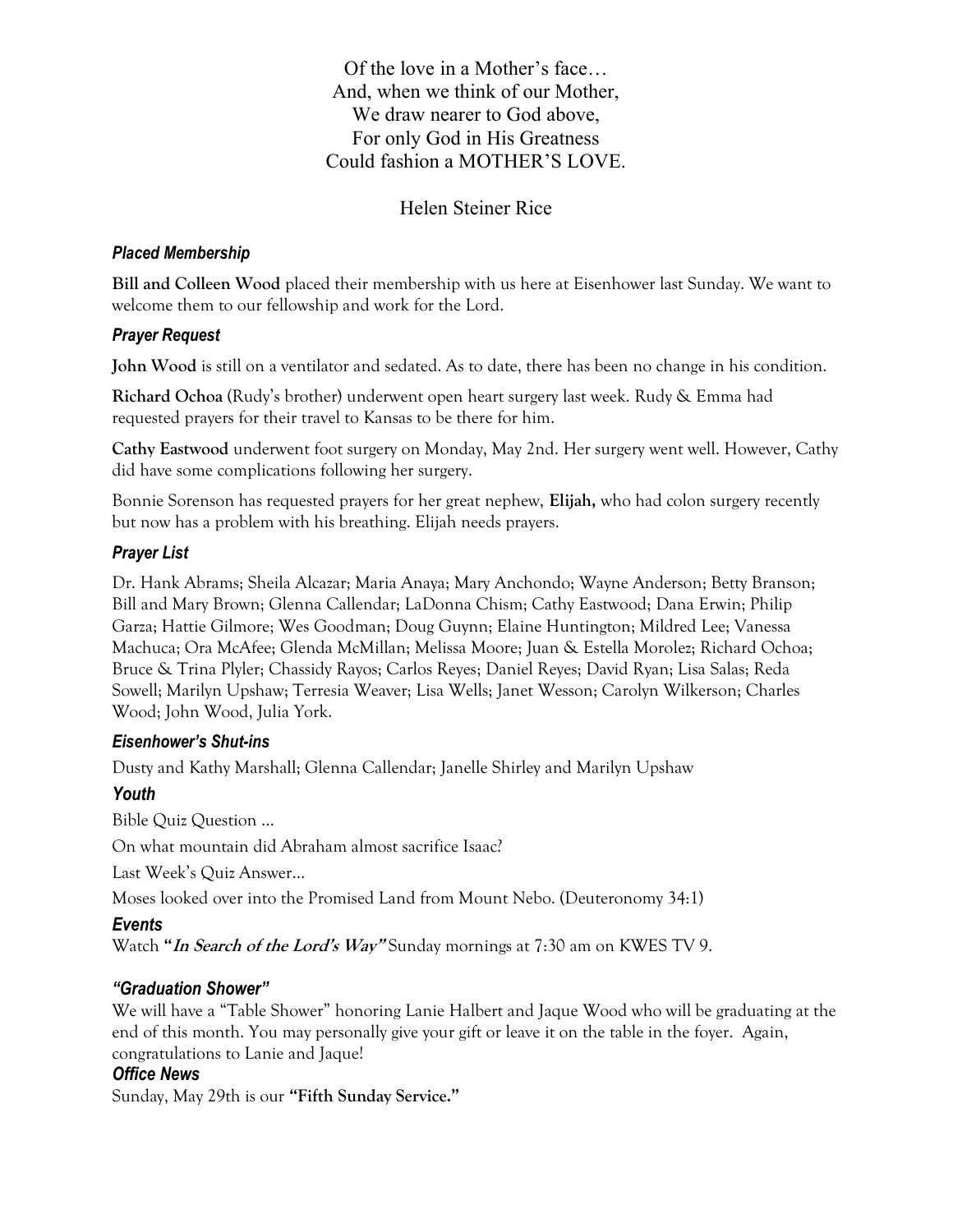Of the love in a Mother's face… And, when we think of our Mother, We draw nearer to God above, For only God in His Greatness Could fashion a MOTHER'S LOVE.

# Helen Steiner Rice

#### Placed Membership

Bill and Colleen Wood placed their membership with us here at Eisenhower last Sunday. We want to welcome them to our fellowship and work for the Lord.

#### Prayer Request

John Wood is still on a ventilator and sedated. As to date, there has been no change in his condition.

Richard Ochoa (Rudy's brother) underwent open heart surgery last week. Rudy & Emma had requested prayers for their travel to Kansas to be there for him.

Cathy Eastwood underwent foot surgery on Monday, May 2nd. Her surgery went well. However, Cathy did have some complications following her surgery.

Bonnie Sorenson has requested prayers for her great nephew, Elijah, who had colon surgery recently but now has a problem with his breathing. Elijah needs prayers.

#### Prayer List

Dr. Hank Abrams; Sheila Alcazar; Maria Anaya; Mary Anchondo; Wayne Anderson; Betty Branson; Bill and Mary Brown; Glenna Callendar; LaDonna Chism; Cathy Eastwood; Dana Erwin; Philip Garza; Hattie Gilmore; Wes Goodman; Doug Guynn; Elaine Huntington; Mildred Lee; Vanessa Machuca; Ora McAfee; Glenda McMillan; Melissa Moore; Juan & Estella Morolez; Richard Ochoa; Bruce & Trina Plyler; Chassidy Rayos; Carlos Reyes; Daniel Reyes; David Ryan; Lisa Salas; Reda Sowell; Marilyn Upshaw; Terresia Weaver; Lisa Wells; Janet Wesson; Carolyn Wilkerson; Charles Wood; John Wood, Julia York.

#### Eisenhower's Shut-ins

Dusty and Kathy Marshall; Glenna Callendar; Janelle Shirley and Marilyn Upshaw

#### Youth

Bible Quiz Question …

On what mountain did Abraham almost sacrifice Isaac?

Last Week's Quiz Answer…

Moses looked over into the Promised Land from Mount Nebo. (Deuteronomy 34:1)

#### Events

Watch "In Search of the Lord's Way" Sunday mornings at 7:30 am on KWES TV 9.

#### "Graduation Shower"

We will have a "Table Shower" honoring Lanie Halbert and Jaque Wood who will be graduating at the end of this month. You may personally give your gift or leave it on the table in the foyer. Again, congratulations to Lanie and Jaque!

#### Office News

Sunday, May 29th is our "Fifth Sunday Service."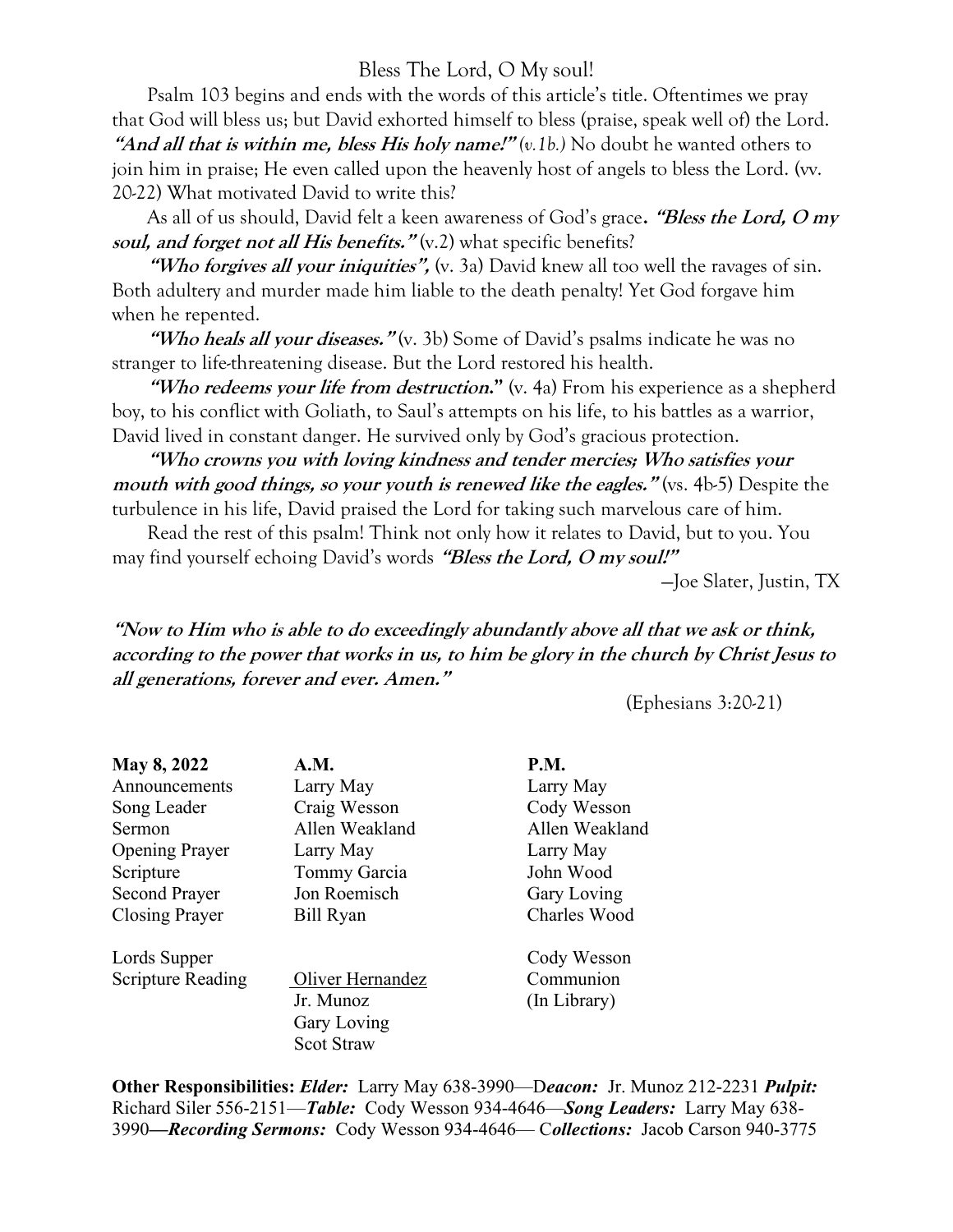# Bless The Lord, O My soul!

 Psalm 103 begins and ends with the words of this article's title. Oftentimes we pray that God will bless us; but David exhorted himself to bless (praise, speak well of) the Lord. "And all that is within me, bless His holy name!"  $(v.1b)$ . No doubt he wanted others to join him in praise; He even called upon the heavenly host of angels to bless the Lord. (vv. 20-22) What motivated David to write this?

As all of us should, David felt a keen awareness of God's grace. "Bless the Lord, O my soul, and forget not all His benefits." (v.2) what specific benefits?

"Who forgives all your *iniquities*", (v. 3a) David knew all too well the ravages of sin. Both adultery and murder made him liable to the death penalty! Yet God forgave him when he repented.

"Who heals all your diseases."  $(v, 3b)$  Some of David's psalms indicate he was no stranger to life-threatening disease. But the Lord restored his health.

"Who redeems your life from destruction." (v. 4a) From his experience as a shepherd boy, to his conflict with Goliath, to Saul's attempts on his life, to his battles as a warrior, David lived in constant danger. He survived only by God's gracious protection.

 "Who crowns you with loving kindness and tender mercies; Who satisfies your mouth with good things, so your youth is renewed like the eagles." (vs. 4b-5) Despite the turbulence in his life, David praised the Lord for taking such marvelous care of him.

 Read the rest of this psalm! Think not only how it relates to David, but to you. You may find yourself echoing David's words "Bless the Lord, O my soul!"

—Joe Slater, Justin, TX

"Now to Him who is able to do exceedingly abundantly above all that we ask or think, according to the power that works in us, to him be glory in the church by Christ Jesus to all generations, forever and ever. Amen."

(Ephesians 3:20-21)

| <b>May 8, 2022</b>       | A.M.              | P.M.           |
|--------------------------|-------------------|----------------|
| Announcements            | Larry May         | Larry May      |
| Song Leader              | Craig Wesson      | Cody Wesson    |
| Sermon                   | Allen Weakland    | Allen Weakland |
| <b>Opening Prayer</b>    | Larry May         | Larry May      |
| Scripture                | Tommy Garcia      | John Wood      |
| <b>Second Prayer</b>     | Jon Roemisch      | Gary Loving    |
| <b>Closing Prayer</b>    | Bill Ryan         | Charles Wood   |
| Lords Supper             |                   | Cody Wesson    |
| <b>Scripture Reading</b> | Oliver Hernandez  | Communion      |
|                          | Jr. Munoz         | (In Library)   |
|                          | Gary Loving       |                |
|                          | <b>Scot Straw</b> |                |

Other Responsibilities: Elder: Larry May 638-3990—Deacon: Jr. Munoz 212-2231 Pulpit: Richard Siler 556-2151—Table: Cody Wesson 934-4646—Song Leaders: Larry May 638- 3990—Recording Sermons: Cody Wesson 934-4646— Collections: Jacob Carson 940-3775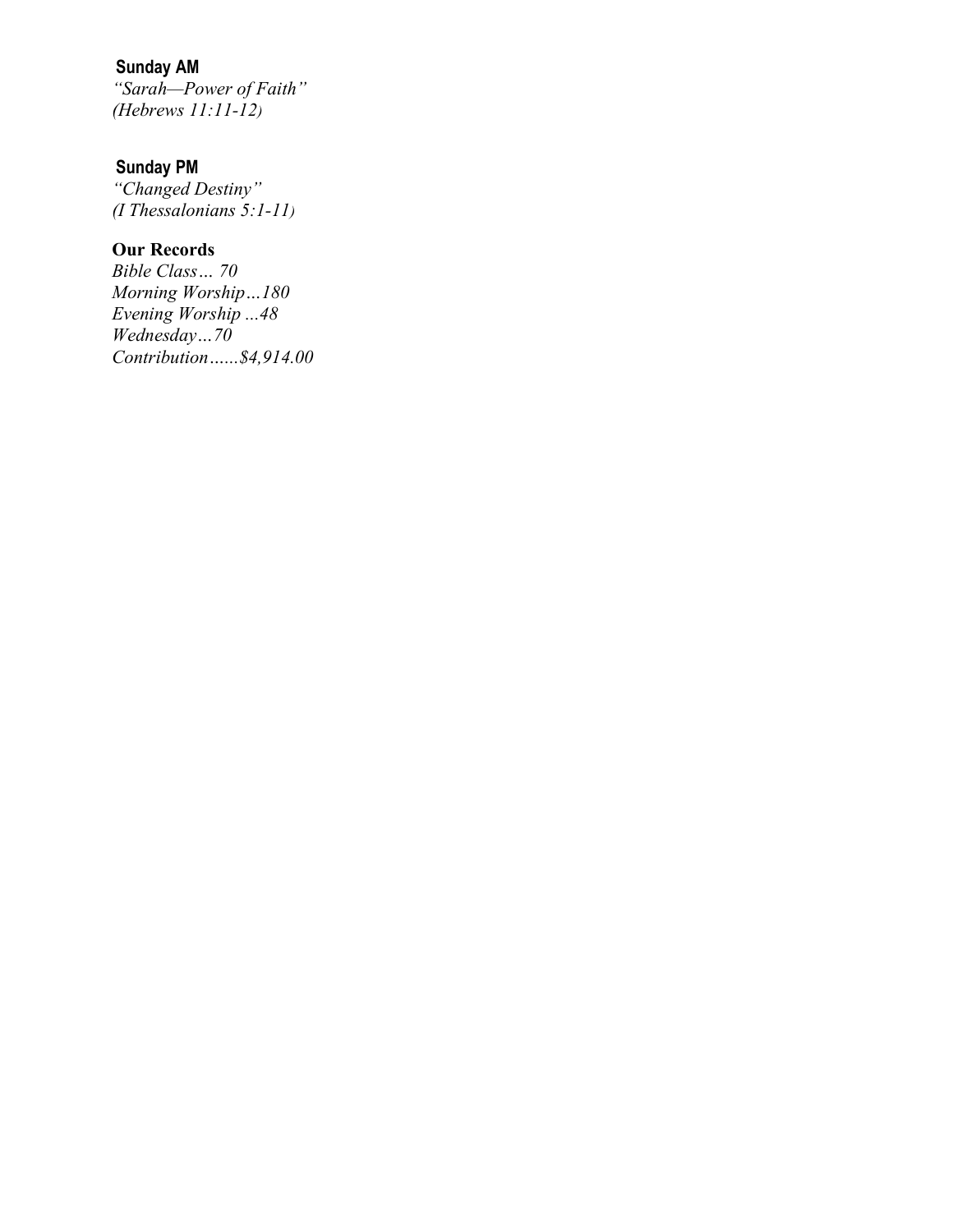# Sunday AM

"Sarah—Power of Faith" (Hebrews 11:11-12)

#### Sunday PM

"Changed Destiny" (I Thessalonians 5:1-11)

# Our Records

Bible Class… 70 Morning Worship…180 Evening Worship ...48 Wednesday...70 Contribution…...\$4,914.00